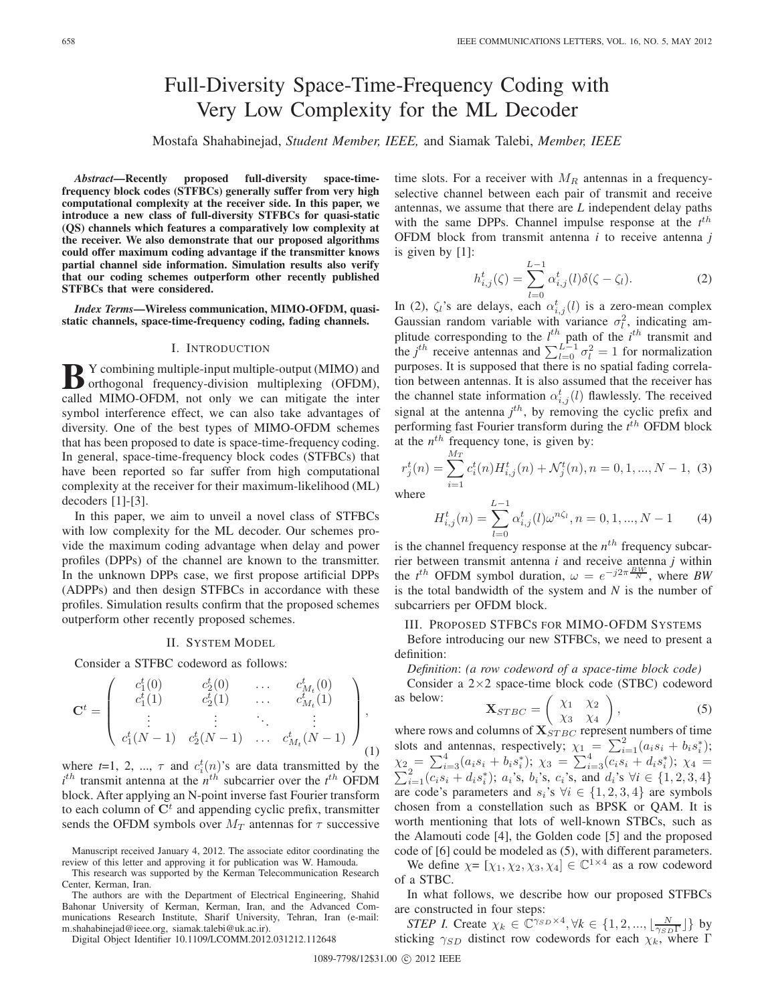# Full-Diversity Space-Time-Frequency Coding with Very Low Complexity for the ML Decoder

Mostafa Shahabinejad, *Student Member, IEEE,* and Siamak Talebi, *Member, IEEE*

*Abstract***—Recently proposed full-diversity space-timefrequency block codes (STFBCs) generally suffer from very high computational complexity at the receiver side. In this paper, we introduce a new class of full-diversity STFBCs for quasi-static (QS) channels which features a comparatively low complexity at the receiver. We also demonstrate that our proposed algorithms could offer maximum coding advantage if the transmitter knows partial channel side information. Simulation results also verify that our coding schemes outperform other recently published STFBCs that were considered.**

*Index Terms***—Wireless communication, MIMO-OFDM, quasistatic channels, space-time-frequency coding, fading channels.**

# I. INTRODUCTION

**B** Y combining multiple-input multiple-output (MIMO) and orthogonal frequency-division multiplexing (OFDM), and call with a internal value of the internal value of the internal value of the internal value of the internal called MIMO-OFDM, not only we can mitigate the inter symbol interference effect, we can also take advantages of diversity. One of the best types of MIMO-OFDM schemes that has been proposed to date is space-time-frequency coding. In general, space-time-frequency block codes (STFBCs) that have been reported so far suffer from high computational complexity at the receiver for their maximum-likelihood (ML) decoders [1]-[3].

In this paper, we aim to unveil a novel class of STFBCs with low complexity for the ML decoder. Our schemes provide the maximum coding advantage when delay and power profiles (DPPs) of the channel are known to the transmitter. In the unknown DPPs case, we first propose artificial DPPs (ADPPs) and then design STFBCs in accordance with these profiles. Simulation results confirm that the proposed schemes outperform other recently proposed schemes.

## II. SYSTEM MODEL

Consider a STFBC codeword as follows:

$$
\mathbf{C}^{t} = \begin{pmatrix} c_{1}^{t}(0) & c_{2}^{t}(0) & \dots & c_{M_{t}}^{t}(0) \\ c_{1}^{t}(1) & c_{2}^{t}(1) & \dots & c_{M_{t}}^{t}(1) \\ \vdots & \vdots & \ddots & \vdots \\ c_{1}^{t}(N-1) & c_{2}^{t}(N-1) & \dots & c_{M_{t}}^{t}(N-1) \end{pmatrix}, \quad (1)
$$

where  $t=1, 2, ..., \tau$  and  $c_i^t(n)$ 's are data transmitted by the  $i^{th}$  transmit antenna at the  $n^{th}$  subcarrier over the  $i^{th}$  OFDM block. After applying an N-point inverse fast Fourier transform to each column of  $\mathbf{C}^t$  and appending cyclic prefix, transmitter sends the OFDM symbols over  $M_T$  antennas for  $\tau$  successive

Digital Object Identifier 10.1109/LCOMM.2012.031212.112648

time slots. For a receiver with  $M_R$  antennas in a frequencyselective channel between each pair of transmit and receive antennas, we assume that there are *L* independent delay paths with the same DPPs. Channel impulse response at the  $t^{th}$ OFDM block from transmit antenna *i* to receive antenna *j* is given by [1]:

$$
h_{i,j}^{t}(\zeta) = \sum_{l=0}^{L-1} \alpha_{i,j}^{t}(l)\delta(\zeta - \zeta_{l}).
$$
 (2)

In (2),  $\zeta_i$ 's are delays, each  $\alpha_{i,j}^t(l)$  is a zero-mean complex Gaussian random variable with variance  $\sigma_l^2$ , indicating amplitude corresponding to the  $l^{th}$  path of the  $i^{th}$  transmit and the *j*<sup>th</sup> receive antennas and  $\sum_{l=0}^{L-1} \sigma_l^2 = 1$  for normalization purposes. It is supposed that there is no spatial fading correlation between antennas. It is also assumed that the receiver has the channel state information  $\alpha_{i,j}^{t}(l)$  flawlessly. The received signal at the antenna  $j<sup>th</sup>$ , by removing the cyclic prefix and performing fast Fourier transform during the  $t^{th}$  OFDM block at the  $n^{th}$  frequency tone, is given by:

$$
r_j^t(n) = \sum_{i=1}^{M_T} c_i^t(n) H_{i,j}^t(n) + \mathcal{N}_j^t(n), n = 0, 1, ..., N - 1, (3)
$$

where

$$
H_{i,j}^t(n) = \sum_{l=0}^{L-1} \alpha_{i,j}^t(l)\omega^{n\zeta_l}, n = 0, 1, ..., N-1
$$
 (4)

is the channel frequency response at the  $n^{th}$  frequency subcarrier between transmit antenna *i* and receive antenna *j* within the  $t^{th}$  OFDM symbol duration,  $\omega = e^{-j2\pi \frac{BW}{N}}$ , where *BW* is the total bandwidth of the system and *N* is the number of subcarriers per OFDM block.

III. PROPOSED STFBCS FOR MIMO-OFDM SYSTEMS

Before introducing our new STFBCs, we need to present a definition:

*Definition*: *(a row codeword of a space-time block code)*

Consider a 2×2 space-time block code (STBC) codeword as below:  $\sqrt{2}$  $\int \chi_1 \chi_2$  $\setminus$ 

$$
\mathbf{X}_{STBC} = \begin{pmatrix} \chi_1 & \chi_2 \\ \chi_3 & \chi_4 \end{pmatrix},\tag{5}
$$

where rows and columns of  $X_{STBC}$  represent numbers of time slots and antennas, respectively;  $\chi_1 = \sum_{i=1}^2 (a_i s_i + b_i s_i^*)$ ;  $\chi_2 = \sum_{i=3}^4 (a_i s_i + b_i s_i^*)$ ;  $\chi_3 = \sum_{i=3}^4 (\overline{c_i s_i} + d_i s_i^*)$ ;  $\chi_4 = \sum_{i=1}^2 (c_i s_i + d_i s_i^*)$ ;  $a_i$ 's,  $b_i$ 's,  $c_i$ 's, and  $d_i$ 's  $\forall i \in \{1, 2, 3, 4\}$ are code's parameters and  $s_i$ 's  $\forall i \in \{1, 2, 3, 4\}$  are symbols chosen from a constellation such as BPSK or QAM. It is worth mentioning that lots of well-known STBCs, such as the Alamouti code [4], the Golden code [5] and the proposed code of [6] could be modeled as (5), with different parameters.

We define  $\chi = [\chi_1, \chi_2, \chi_3, \chi_4] \in \mathbb{C}^{1 \times 4}$  as a row codeword of a STBC.

In what follows, we describe how our proposed STFBCs are constructed in four steps:

*STEP I.* Create  $\chi_k \in \mathbb{C}^{\gamma_{SD} \times 4}, \forall k \in \{1, 2, ..., \lfloor \frac{N}{\gamma_{SD} \Gamma} \rfloor\}$  by sticking  $\gamma_{SD}$  distinct row codewords for each  $\chi_k$ , where Γ

Manuscript received January 4, 2012. The associate editor coordinating the review of this letter and approving it for publication was W. Hamouda.

This research was supported by the Kerman Telecommunication Research Center, Kerman, Iran.

The authors are with the Department of Electrical Engineering, Shahid Bahonar University of Kerman, Kerman, Iran, and the Advanced Communications Research Institute, Sharif University, Tehran, Iran (e-mail: m.shahabinejad@ieee.org, siamak.talebi@uk.ac.ir).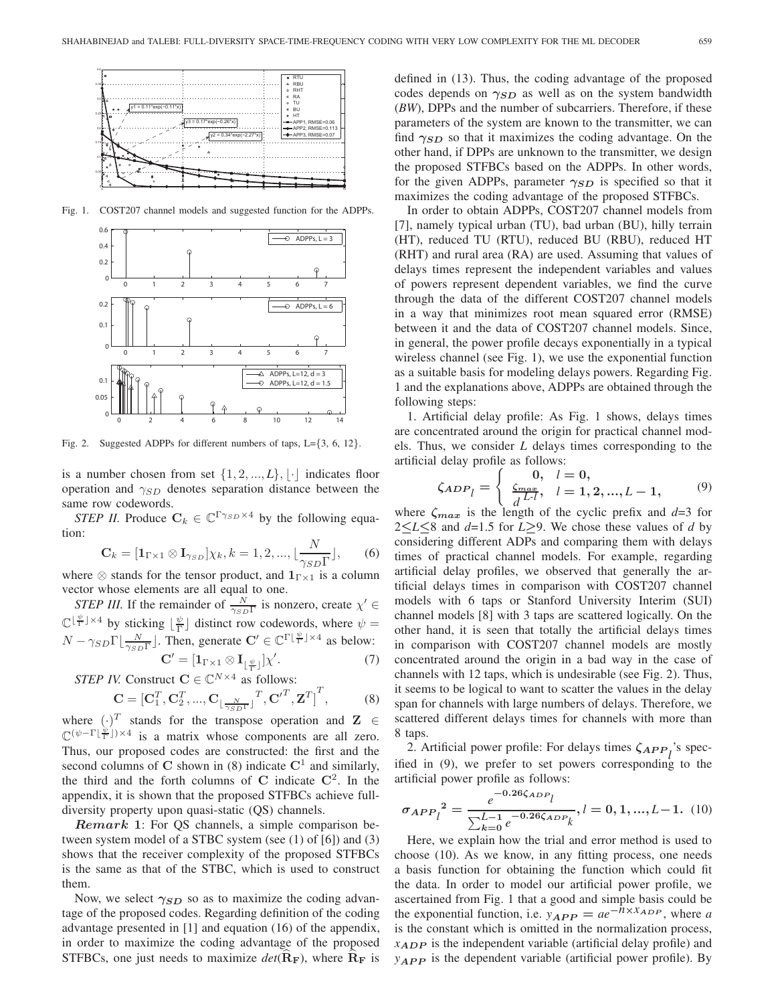

Fig. 1. COST207 channel models and suggested function for the ADPPs.



Fig. 2. Suggested ADPPs for different numbers of taps, L={3, 6, 12}.

is a number chosen from set  $\{1, 2, ..., L\}, \lfloor \cdot \rfloor$  indicates floor operation and  $\gamma_{SD}$  denotes separation distance between the same row codewords.

*STEP II.* Produce  $C_k \in \mathbb{C}^{\Gamma \gamma_{SD} \times 4}$  by the following equation:

$$
\mathbf{C}_{k} = [\mathbf{1}_{\Gamma \times 1} \otimes \mathbf{I}_{\gamma_{SD}}] \chi_{k}, k = 1, 2, ..., \lfloor \frac{N}{\gamma_{SD} \Gamma} \rfloor,
$$
 (6)

where  $\otimes$  stands for the tensor product, and  $\mathbf{1}_{\Gamma \times 1}$  is a column vector whose elements are all equal to one.

*STEP III.* If the remainder of  $\frac{N}{\gamma_{SD}\Gamma}$  is nonzero, create  $\chi' \in$  $\mathbb{C}^{\lfloor \frac{\psi}{\Gamma} \rfloor \times 4}$  by sticking  $\lfloor \frac{\psi}{\Gamma} \rfloor$  distinct row codewords, where  $\psi =$  $N - \gamma_{SD} \Gamma \left[ \frac{N}{\gamma_{SD} \Gamma} \right]$ . Then, generate  $\mathbf{C}' \in \mathbb{C}^{\Gamma \left[ \frac{\psi}{\Gamma} \right] \times 4}$  as below:

$$
\mathbf{C}' = [\mathbf{1}_{\Gamma \times 1} \otimes \mathbf{I}_{\lfloor \frac{\psi}{\Gamma} \rfloor}] \chi'. \tag{7}
$$

*STEP IV.* Construct  $C \in \mathbb{C}^{N \times 4}$  as follows:

$$
\mathbf{C} = \left[\mathbf{C}_1^T, \mathbf{C}_2^T, ..., \mathbf{C}_{\lfloor \frac{N}{\gamma_{SD}T} \rfloor}^T, \mathbf{C}'^T, \mathbf{Z}^T\right]^T, \tag{8}
$$

where  $(\cdot)^T$  stands for the transpose operation and **Z** ∈  $\mathbb{C}^{(\psi-\Gamma[\frac{\psi}{\Gamma}])\times 4}$  is a matrix whose components are all zero. Thus, our proposed codes are constructed: the first and the second columns of  $C$  shown in (8) indicate  $C^1$  and similarly, the third and the forth columns of  $C$  indicate  $C^2$ . In the appendix, it is shown that the proposed STFBCs achieve fulldiversity property upon quasi-static (QS) channels.

*Remark* **1**: For QS channels, a simple comparison between system model of a STBC system (see (1) of [6]) and (3) shows that the receiver complexity of the proposed STFBCs is the same as that of the STBC, which is used to construct them.

Now, we select *γSD* so as to maximize the coding advantage of the proposed codes. Regarding definition of the coding advantage presented in [1] and equation (16) of the appendix, in order to maximize the coding advantage of the proposed STFBCs, one just needs to maximize  $det(\mathbf{R}_F)$ , where  $\mathbf{R}_F$  is defined in (13). Thus, the coding advantage of the proposed codes depends on *γSD* as well as on the system bandwidth (*BW*), DPPs and the number of subcarriers. Therefore, if these parameters of the system are known to the transmitter, we can find  $\gamma_{SD}$  so that it maximizes the coding advantage. On the other hand, if DPPs are unknown to the transmitter, we design the proposed STFBCs based on the ADPPs. In other words, for the given ADPPs, parameter *γSD* is specified so that it maximizes the coding advantage of the proposed STFBCs.

In order to obtain ADPPs, COST207 channel models from [7], namely typical urban (TU), bad urban (BU), hilly terrain (HT), reduced TU (RTU), reduced BU (RBU), reduced HT (RHT) and rural area (RA) are used. Assuming that values of delays times represent the independent variables and values of powers represent dependent variables, we find the curve through the data of the different COST207 channel models in a way that minimizes root mean squared error (RMSE) between it and the data of COST207 channel models. Since, in general, the power profile decays exponentially in a typical wireless channel (see Fig. 1), we use the exponential function as a suitable basis for modeling delays powers. Regarding Fig. 1 and the explanations above, ADPPs are obtained through the following steps:

1. Artificial delay profile: As Fig. 1 shows, delays times are concentrated around the origin for practical channel models. Thus, we consider *L* delays times corresponding to the artificial delay profile as follows:

$$
\zeta_{ADP_l} = \begin{cases} 0, & l = 0, \\ \frac{\zeta_{max}}{d} & l = 1, 2, ..., L - 1, \end{cases} (9)
$$

where  $\zeta_{max}$  is the length of the cyclic prefix and  $d=3$  for 2*≤L≤*8 and *d*=1.5 for *L≥*9. We chose these values of *d* by considering different ADPs and comparing them with delays times of practical channel models. For example, regarding artificial delay profiles, we observed that generally the artificial delays times in comparison with COST207 channel models with 6 taps or Stanford University Interim (SUI) channel models [8] with 3 taps are scattered logically. On the other hand, it is seen that totally the artificial delays times in comparison with COST207 channel models are mostly concentrated around the origin in a bad way in the case of channels with 12 taps, which is undesirable (see Fig. 2). Thus, it seems to be logical to want to scatter the values in the delay span for channels with large numbers of delays. Therefore, we scattered different delays times for channels with more than 8 taps.

2. Artificial power profile: For delays times  $\zeta_{APP}$ <sup>'</sup>s specified in (9), we prefer to set powers corresponding to the artificial power profile as follows:

$$
\sigma_{APP_l}^2 = \frac{e^{-0.26\zeta_{ADP_l}}}{\sum_{k=0}^{L-1} e^{-0.26\zeta_{ADP_k}}}, l = 0, 1, ..., L-1.
$$
 (10)

Here, we explain how the trial and error method is used to choose (10). As we know, in any fitting process, one needs a basis function for obtaining the function which could fit the data. In order to model our artificial power profile, we ascertained from Fig. 1 that a good and simple basis could be the exponential function, i.e.  $y_{APP} = ae^{-nx \times ADP}$ , where *a* is the constant which is omitted in the normalization process, *xADP* is the independent variable (artificial delay profile) and  $y_{APP}$  is the dependent variable (artificial power profile). By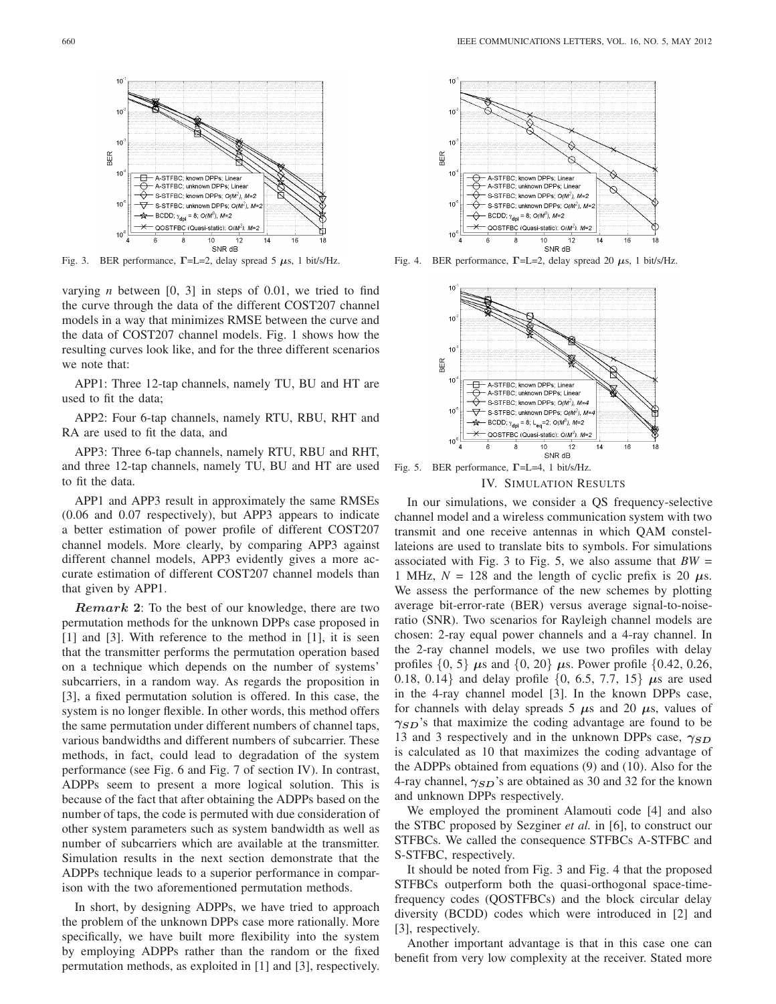

Fig. 3. BER performance, **Γ**=L=2, delay spread 5 *μ*s, 1 bit/s/Hz.

varying *n* between [0, 3] in steps of 0.01, we tried to find the curve through the data of the different COST207 channel models in a way that minimizes RMSE between the curve and the data of COST207 channel models. Fig. 1 shows how the resulting curves look like, and for the three different scenarios we note that:

APP1: Three 12-tap channels, namely TU, BU and HT are used to fit the data;

APP2: Four 6-tap channels, namely RTU, RBU, RHT and RA are used to fit the data, and

APP3: Three 6-tap channels, namely RTU, RBU and RHT, and three 12-tap channels, namely TU, BU and HT are used to fit the data.

APP1 and APP3 result in approximately the same RMSEs (0.06 and 0.07 respectively), but APP3 appears to indicate a better estimation of power profile of different COST207 channel models. More clearly, by comparing APP3 against different channel models, APP3 evidently gives a more accurate estimation of different COST207 channel models than that given by APP1.

*Remark* **2**: To the best of our knowledge, there are two permutation methods for the unknown DPPs case proposed in [1] and [3]. With reference to the method in [1], it is seen that the transmitter performs the permutation operation based on a technique which depends on the number of systems' subcarriers, in a random way. As regards the proposition in [3], a fixed permutation solution is offered. In this case, the system is no longer flexible. In other words, this method offers the same permutation under different numbers of channel taps, various bandwidths and different numbers of subcarrier. These methods, in fact, could lead to degradation of the system performance (see Fig. 6 and Fig. 7 of section IV). In contrast, ADPPs seem to present a more logical solution. This is because of the fact that after obtaining the ADPPs based on the number of taps, the code is permuted with due consideration of other system parameters such as system bandwidth as well as number of subcarriers which are available at the transmitter. Simulation results in the next section demonstrate that the ADPPs technique leads to a superior performance in comparison with the two aforementioned permutation methods.

In short, by designing ADPPs, we have tried to approach the problem of the unknown DPPs case more rationally. More specifically, we have built more flexibility into the system by employing ADPPs rather than the random or the fixed permutation methods, as exploited in [1] and [3], respectively.



Fig. 4. BER performance, **Γ**=L=2, delay spread 20 *μ*s, 1 bit/s/Hz.



Fig. 5. BER performance, **Γ**=L=4, 1 bit/s/Hz.

### IV. SIMULATION RESULTS

In our simulations, we consider a QS frequency-selective channel model and a wireless communication system with two transmit and one receive antennas in which QAM constellateions are used to translate bits to symbols. For simulations associated with Fig. 3 to Fig. 5, we also assume that  $BW =$ 1 MHz,  $N = 128$  and the length of cyclic prefix is 20  $\mu$ s. We assess the performance of the new schemes by plotting average bit-error-rate (BER) versus average signal-to-noiseratio (SNR). Two scenarios for Rayleigh channel models are chosen: 2-ray equal power channels and a 4-ray channel. In the 2-ray channel models, we use two profiles with delay profiles  $\{0, 5\}$  *μ*s and  $\{0, 20\}$  *μs.* Power profile  $\{0.42, 0.26,$ 0.18, 0.14} and delay profile {0, 6.5, 7.7, 15} *μ*s are used in the 4-ray channel model [3]. In the known DPPs case, for channels with delay spreads 5  $\mu$ s and 20  $\mu$ s, values of *γSD*'s that maximize the coding advantage are found to be 13 and 3 respectively and in the unknown DPPs case, *γSD* is calculated as 10 that maximizes the coding advantage of the ADPPs obtained from equations (9) and (10). Also for the 4-ray channel, *γSD*'s are obtained as 30 and 32 for the known and unknown DPPs respectively.

We employed the prominent Alamouti code [4] and also the STBC proposed by Sezginer *et al.* in [6], to construct our STFBCs. We called the consequence STFBCs A-STFBC and S-STFBC, respectively.

It should be noted from Fig. 3 and Fig. 4 that the proposed STFBCs outperform both the quasi-orthogonal space-timefrequency codes (QOSTFBCs) and the block circular delay diversity (BCDD) codes which were introduced in [2] and [3], respectively.

Another important advantage is that in this case one can benefit from very low complexity at the receiver. Stated more